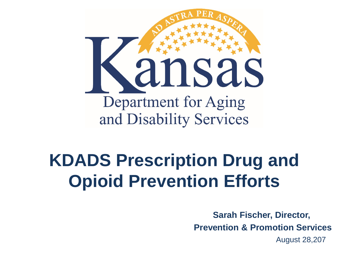

#### **KDADS Prescription Drug and Opioid Prevention Efforts**

**Sarah Fischer, Director, Prevention & Promotion Services** August 28,207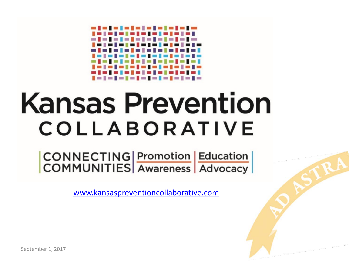#### -------------<u> Intelate la fate la fat</u> --------------. . . . . . . . . . ------------1 = 1 = 1 = 1 = 1 = 1 = 1 = 1 = 1 = 1

# **Kansas Prevention** COLLABORATIVE

CONNECTING Promotion Education<br>COMMUNITIES Awareness Advocacy

[www.kansaspreventioncollaborative.com](http://www.kansaspreventioncollaborative.com/)

September 1, 2017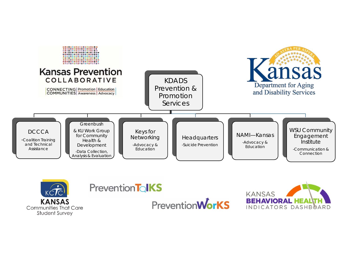



#### **Prevention TolkS**



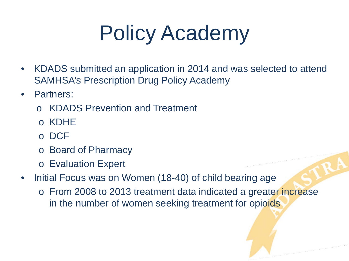## Policy Academy

- KDADS submitted an application in 2014 and was selected to attend SAMHSA's Prescription Drug Policy Academy
- Partners:
	- KDADS Prevention and Treatment
	- o KDHE
	- o DCF
	- o Board of Pharmacy
	- o Evaluation Expert
- Initial Focus was on Women (18-40) of child bearing age
	- o From 2008 to 2013 treatment data indicated a greater increase in the number of women seeking treatment for opioids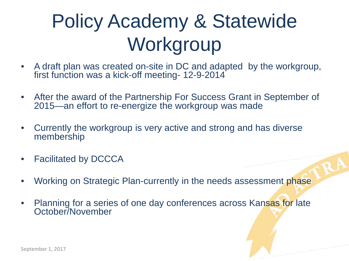### Policy Academy & Statewide **Workgroup**

- A draft plan was created on-site in DC and adapted by the workgroup, first function was a kick-off meeting- 12-9-2014
- After the award of the Partnership For Success Grant in September of 2015—an effort to re-energize the workgroup was made
- Currently the workgroup is very active and strong and has diverse membership
- Facilitated by DCCCA
- Working on Strategic Plan-currently in the needs assessment phase
- Planning for a series of one day conferences across Kansas for late October/November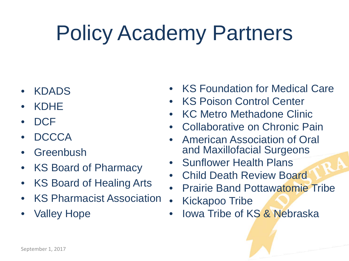## Policy Academy Partners

- KDADS
- KDHE
- DCF
- DCCCA
- Greenbush
- KS Board of Pharmacy
- KS Board of Healing Arts
- KS Pharmacist Association
- Valley Hope
- KS Foundation for Medical Care
- **KS Poison Control Center**
- KC Metro Methadone Clinic
- Collaborative on Chronic Pain
- American Association of Oral and Maxillofacial Surgeons
- Sunflower Health Plans
- Child Death Review Board
- Prairie Band Pottawatomie Tribe
- Kickapoo Tribe
- Iowa Tribe of KS & Nebraska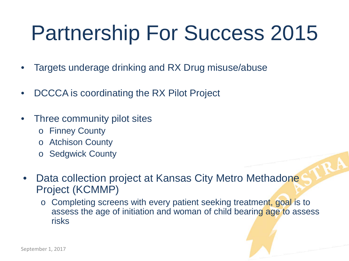## Partnership For Success 2015

- Targets underage drinking and RX Drug misuse/abuse
- DCCCA is coordinating the RX Pilot Project
- Three community pilot sites
	- o Finney County
	- o Atchison County
	- o Sedgwick County
- Data collection project at Kansas City Metro Methadone Project (KCMMP)
	- o Completing screens with every patient seeking treatment, goal is to assess the age of initiation and woman of child bearing age to assess risks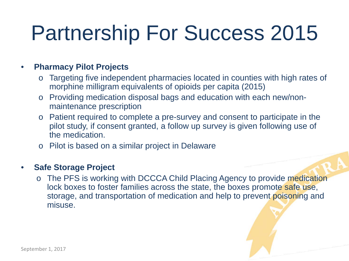## Partnership For Success 2015

#### • **Pharmacy Pilot Projects**

- Targeting five independent pharmacies located in counties with high rates of morphine milligram equivalents of opioids per capita (2015)
- o Providing medication disposal bags and education with each new/nonmaintenance prescription
- o Patient required to complete a pre-survey and consent to participate in the pilot study, if consent granted, a follow up survey is given following use of the medication.
- o Pilot is based on a similar project in Delaware

#### • **Safe Storage Project**

o The PFS is working with DCCCA Child Placing Agency to provide medication lock boxes to foster families across the state, the boxes promote safe use, storage, and transportation of medication and help to prevent poisoning and misuse.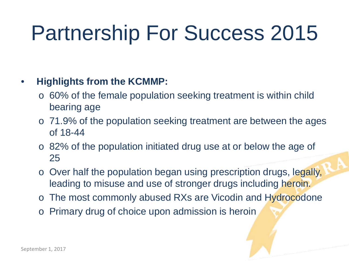## Partnership For Success 2015

#### • **Highlights from the KCMMP:**

- o 60% of the female population seeking treatment is within child bearing age
- o 71.9% of the population seeking treatment are between the ages of 18-44
- o 82% of the population initiated drug use at or below the age of 25
- o Over half the population began using prescription drugs, legally, leading to misuse and use of stronger drugs including heroin.
- o The most commonly abused RXs are Vicodin and Hydrocodone
- Primary drug of choice upon admission is heroin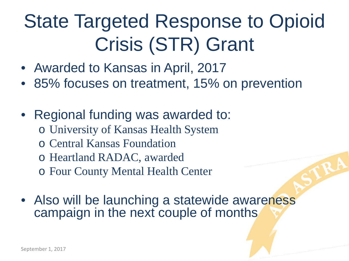### State Targeted Response to Opioid Crisis (STR) Grant

- Awarded to Kansas in April, 2017
- 85% focuses on treatment, 15% on prevention
- Regional funding was awarded to: o University of Kansas Health System o Central Kansas Foundation
	- o Heartland RADAC, awarded
	- o Four County Mental Health Center
- Also will be launching a statewide awareness campaign in the next couple of months